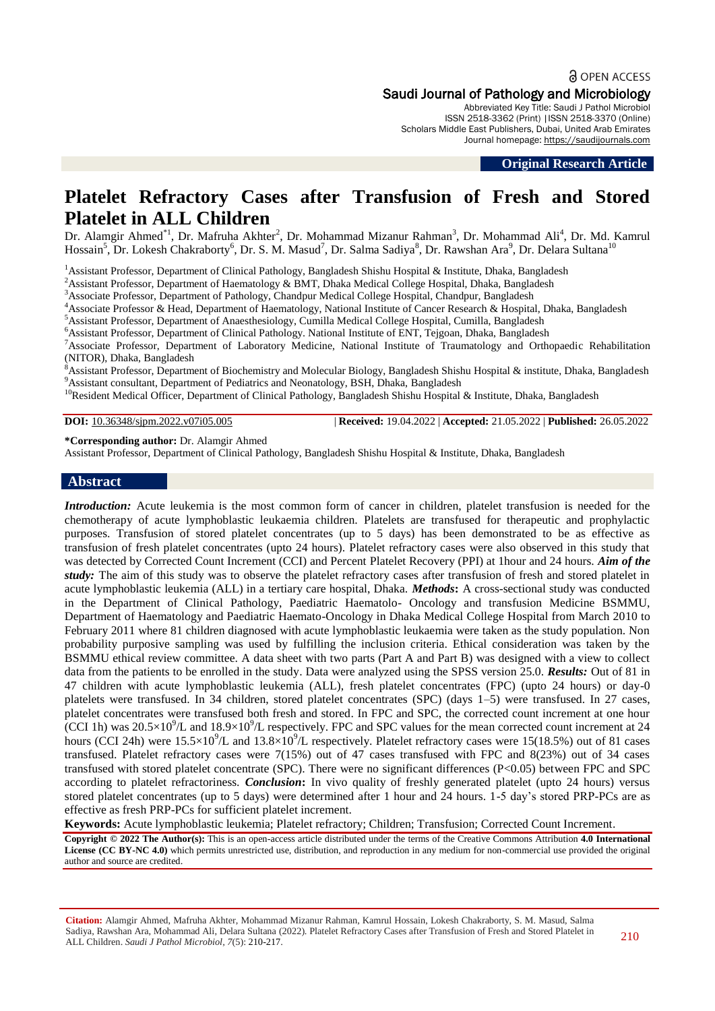# a OPEN ACCESS

Saudi Journal of Pathology and Microbiology

Abbreviated Key Title: Saudi J Pathol Microbiol ISSN 2518-3362 (Print) |ISSN 2518-3370 (Online) Scholars Middle East Publishers, Dubai, United Arab Emirates Journal homepage: [https://saudijournals.com](https://saudijournals.com/sjpm)

**Original Research Article**

# **Platelet Refractory Cases after Transfusion of Fresh and Stored Platelet in ALL Children**

Dr. Alamgir Ahmed<sup>\*1</sup>, Dr. Mafruha Akhter<sup>2</sup>, Dr. Mohammad Mizanur Rahman<sup>3</sup>, Dr. Mohammad Ali<sup>4</sup>, Dr. Md. Kamrul Hossain<sup>5</sup>, Dr. Lokesh Chakraborty<sup>6</sup>, Dr. S. M. Masud<sup>7</sup>, Dr. Salma Sadiya<sup>8</sup>, Dr. Rawshan Ara<sup>9</sup>, Dr. Delara Sultana<sup>10</sup>

<sup>1</sup>Assistant Professor, Department of Clinical Pathology, Bangladesh Shishu Hospital & Institute, Dhaka, Bangladesh

<sup>2</sup>Assistant Professor, Department of Haematology & BMT, Dhaka Medical College Hospital, Dhaka, Bangladesh

<sup>3</sup>Associate Professor, Department of Pathology, Chandpur Medical College Hospital, Chandpur, Bangladesh

<sup>4</sup>Associate Professor & Head, Department of Haematology, National Institute of Cancer Research & Hospital, Dhaka, Bangladesh

<sup>5</sup>Assistant Professor, Department of Anaesthesiology, Cumilla Medical College Hospital, Cumilla, Bangladesh

<sup>6</sup>Assistant Professor, Department of Clinical Pathology. National Institute of ENT, Tejgoan, Dhaka, Bangladesh

<sup>7</sup>Associate Professor, Department of Laboratory Medicine, National Institute of Traumatology and Orthopaedic Rehabilitation (NITOR), Dhaka, Bangladesh

<sup>8</sup>Assistant Professor, Department of Biochemistry and Molecular Biology, Bangladesh Shishu Hospital & institute, Dhaka, Bangladesh <sup>9</sup>Assistant consultant, Department of Pediatrics and Neonatology, BSH, Dhaka, Bangladesh

<sup>10</sup>Resident Medical Officer, Department of Clinical Pathology, Bangladesh Shishu Hospital & Institute, Dhaka, Bangladesh

**DOI:** 10.36348/sjpm.2022.v07i05.005 | **Received:** 19.04.2022 | **Accepted:** 21.05.2022 | **Published:** 26.05.2022

**\*Corresponding author:** Dr. Alamgir Ahmed

Assistant Professor, Department of Clinical Pathology, Bangladesh Shishu Hospital & Institute, Dhaka, Bangladesh

#### **Abstract**

*Introduction:* Acute leukemia is the most common form of cancer in children, platelet transfusion is needed for the chemotherapy of acute lymphoblastic leukaemia children. Platelets are transfused for therapeutic and prophylactic purposes. Transfusion of stored platelet concentrates (up to 5 days) has been demonstrated to be as effective as transfusion of fresh platelet concentrates (upto 24 hours). Platelet refractory cases were also observed in this study that was detected by Corrected Count Increment (CCI) and Percent Platelet Recovery (PPI) at 1hour and 24 hours. *Aim of the study:* The aim of this study was to observe the platelet refractory cases after transfusion of fresh and stored platelet in acute lymphoblastic leukemia (ALL) in a tertiary care hospital, Dhaka. *Methods***:** A cross-sectional study was conducted in the Department of Clinical Pathology, Paediatric Haematolo- Oncology and transfusion Medicine BSMMU, Department of Haematology and Paediatric Haemato-Oncology in Dhaka Medical College Hospital from March 2010 to February 2011 where 81 children diagnosed with acute lymphoblastic leukaemia were taken as the study population. Non probability purposive sampling was used by fulfilling the inclusion criteria. Ethical consideration was taken by the BSMMU ethical review committee. A data sheet with two parts (Part A and Part B) was designed with a view to collect data from the patients to be enrolled in the study. Data were analyzed using the SPSS version 25.0. *Results:* Out of 81 in 47 children with acute lymphoblastic leukemia (ALL), fresh platelet concentrates (FPC) (upto 24 hours) or day-0 platelets were transfused. In 34 children, stored platelet concentrates (SPC) (days 1–5) were transfused. In 27 cases, platelet concentrates were transfused both fresh and stored. In FPC and SPC, the corrected count increment at one hour (CCI 1h) was  $20.5 \times 10^9$ /L and  $18.9 \times 10^9$ /L respectively. FPC and SPC values for the mean corrected count increment at 24 hours (CCI 24h) were  $15.5 \times 10^{9}/L$  and  $13.8 \times 10^{9}/L$  respectively. Platelet refractory cases were 15(18.5%) out of 81 cases transfused. Platelet refractory cases were 7(15%) out of 47 cases transfused with FPC and 8(23%) out of 34 cases transfused with stored platelet concentrate (SPC). There were no significant differences (P<0.05) between FPC and SPC according to platelet refractoriness. *Conclusion***:** In vivo quality of freshly generated platelet (upto 24 hours) versus stored platelet concentrates (up to 5 days) were determined after 1 hour and 24 hours. 1-5 day's stored PRP-PCs are as effective as fresh PRP-PCs for sufficient platelet increment.

**Keywords:** Acute lymphoblastic leukemia; Platelet refractory; Children; Transfusion; Corrected Count Increment.

**Copyright © 2022 The Author(s):** This is an open-access article distributed under the terms of the Creative Commons Attribution **4.0 International**  License (CC BY-NC 4.0) which permits unrestricted use, distribution, and reproduction in any medium for non-commercial use provided the original author and source are credited.

**Citation:** Alamgir Ahmed, Mafruha Akhter, Mohammad Mizanur Rahman, Kamrul Hossain, Lokesh Chakraborty, S. M. Masud, Salma Sadiya, Rawshan Ara, Mohammad Ali, Delara Sultana (2022). Platelet Refractory Cases after Transfusion of Fresh and Stored Platelet in ALL Children. *Saudi J Pathol Microbiol, 7*(5): 210-217.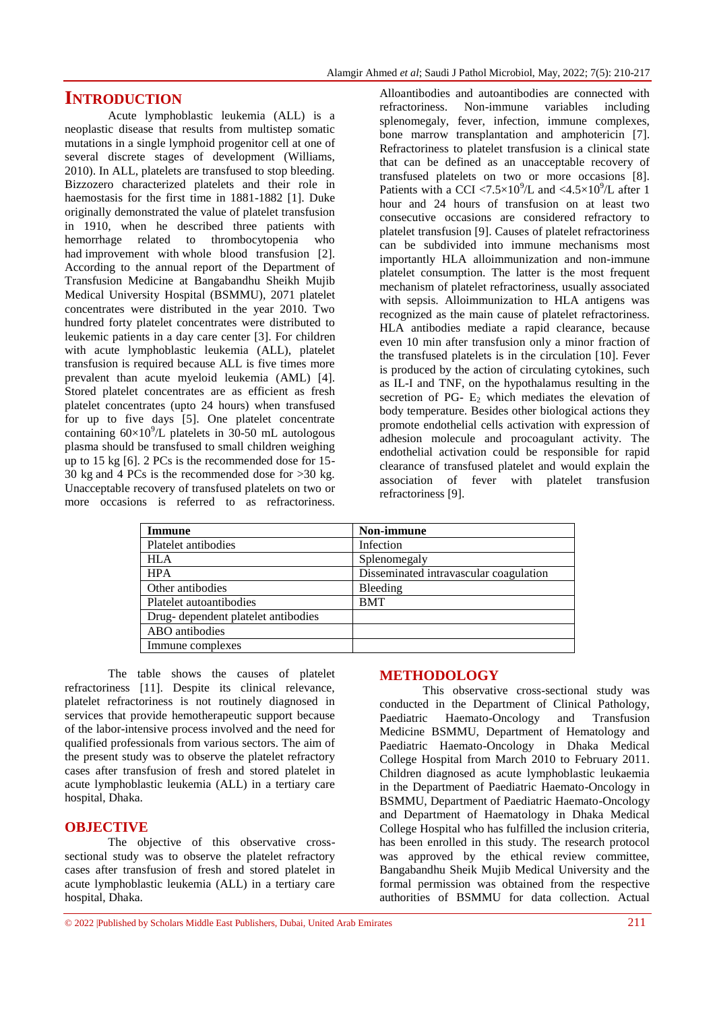## **INTRODUCTION**

Acute lymphoblastic leukemia (ALL) is a neoplastic disease that results from multistep somatic mutations in a single lymphoid progenitor cell at one of several discrete stages of development (Williams, 2010). In ALL, platelets are transfused to stop bleeding. Bizzozero characterized platelets and their role in haemostasis for the first time in 1881-1882 [1]. Duke originally demonstrated the value of platelet transfusion in 1910, when he described three patients with hemorrhage related to thrombocytopenia who had improvement with whole blood transfusion [2]. According to the annual report of the Department of Transfusion Medicine at Bangabandhu Sheikh Mujib Medical University Hospital (BSMMU), 2071 platelet concentrates were distributed in the year 2010. Two hundred forty platelet concentrates were distributed to leukemic patients in a day care center [3]. For children with acute lymphoblastic leukemia (ALL), platelet transfusion is required because ALL is five times more prevalent than acute myeloid leukemia (AML) [4]. Stored platelet concentrates are as efficient as fresh platelet concentrates (upto 24 hours) when transfused for up to five days [5]. One platelet concentrate containing  $60 \times 10^9$ /L platelets in 30-50 mL autologous plasma should be transfused to small children weighing up to 15 kg [6]. 2 PCs is the recommended dose for 15- 30 kg and 4 PCs is the recommended dose for >30 kg. Unacceptable recovery of transfused platelets on two or more occasions is referred to as refractoriness.

Alloantibodies and autoantibodies are connected with refractoriness. Non-immune variables including splenomegaly, fever, infection, immune complexes, bone marrow transplantation and amphotericin [7]. Refractoriness to platelet transfusion is a clinical state that can be defined as an unacceptable recovery of transfused platelets on two or more occasions [8]. Patients with a CCI  $\langle 7.5 \times 10^9 / L$  and  $\langle 4.5 \times 10^9 / L$  after 1 hour and 24 hours of transfusion on at least two consecutive occasions are considered refractory to platelet transfusion [9]. Causes of platelet refractoriness can be subdivided into immune mechanisms most importantly HLA alloimmunization and non-immune platelet consumption. The latter is the most frequent mechanism of platelet refractoriness, usually associated with sepsis. Alloimmunization to HLA antigens was recognized as the main cause of platelet refractoriness. HLA antibodies mediate a rapid clearance, because even 10 min after transfusion only a minor fraction of the transfused platelets is in the circulation [10]. Fever is produced by the action of circulating cytokines, such as IL-I and TNF, on the hypothalamus resulting in the secretion of PG-  $E_2$  which mediates the elevation of body temperature. Besides other biological actions they promote endothelial cells activation with expression of adhesion molecule and procoagulant activity. The endothelial activation could be responsible for rapid clearance of transfused platelet and would explain the association of fever with platelet transfusion refractoriness [9].

| Non-immune                             |
|----------------------------------------|
| Infection                              |
| Splenomegaly                           |
| Disseminated intravascular coagulation |
| Bleeding                               |
| <b>BMT</b>                             |
|                                        |
|                                        |
|                                        |
|                                        |

The table shows the causes of platelet refractoriness [11]. Despite its clinical relevance, platelet refractoriness is not routinely diagnosed in services that provide hemotherapeutic support because of the labor-intensive process involved and the need for qualified professionals from various sectors. The aim of the present study was to observe the platelet refractory cases after transfusion of fresh and stored platelet in acute lymphoblastic leukemia (ALL) in a tertiary care hospital, Dhaka.

#### **OBJECTIVE**

The objective of this observative crosssectional study was to observe the platelet refractory cases after transfusion of fresh and stored platelet in acute lymphoblastic leukemia (ALL) in a tertiary care hospital, Dhaka.

#### **METHODOLOGY**

This observative cross-sectional study was conducted in the Department of Clinical Pathology, Paediatric Haemato-Oncology and Transfusion Medicine BSMMU, Department of Hematology and Paediatric Haemato-Oncology in Dhaka Medical College Hospital from March 2010 to February 2011. Children diagnosed as acute lymphoblastic leukaemia in the Department of Paediatric Haemato-Oncology in BSMMU, Department of Paediatric Haemato-Oncology and Department of Haematology in Dhaka Medical College Hospital who has fulfilled the inclusion criteria, has been enrolled in this study. The research protocol was approved by the ethical review committee, Bangabandhu Sheik Mujib Medical University and the formal permission was obtained from the respective authorities of BSMMU for data collection. Actual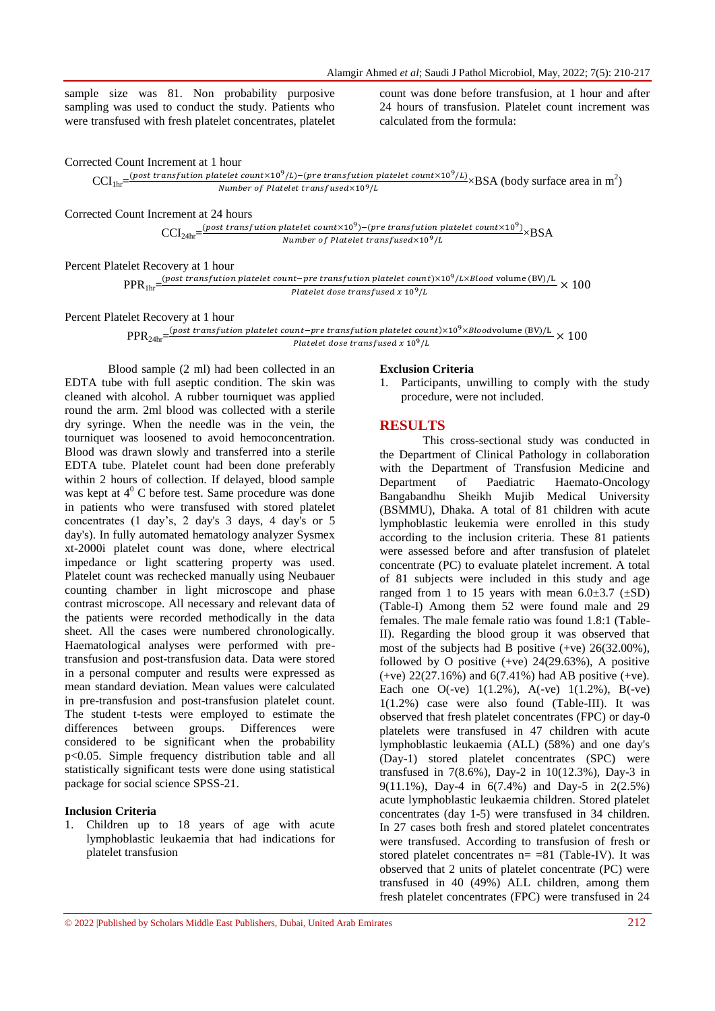sample size was 81. Non probability purposive sampling was used to conduct the study. Patients who were transfused with fresh platelet concentrates, platelet count was done before transfusion, at 1 hour and after 24 hours of transfusion. Platelet count increment was calculated from the formula:

Corrected Count Increment at 1 hour

 $\text{CCI}_{1\text{hr}} = \frac{(post\,\text{transfution platelet}\,\text{count} \times 10^{9}/L) - (pre\,\text{transfution platelet}\,\text{count} \times 10^{9}/L)}{N \times N} \times \text{BSA}$  (body surface area in m<sup>2</sup>) Number of Platelet transfused $\times 10^9$ /L

Corrected Count Increment at 24 hours

 $\text{CCI}_{24\text{hr}} = \frac{(post\,\text{transition}\,platelet\,\text{count} \times 10^9) - (pre\,\text{transition}\,platelet\,\text{count} \times 10^9)}{Number\,\text{of}\,Blacklet\,\text{transfer} \times 10^9 / I} \times \text{BSA}$ Number of Platelet transfused $\times 10^9/L$ 

Percent Platelet Recovery at 1 hour

 $\text{PPR}_{1\text{hr}}\text{ =} \frac{(post\ transition\ platelet\ count - pre\ transform\ platelet\ count) \times 10^9 / L \times Blood\ volume\ (BV)/L}{Blackelat\ desc\ transform\ fixed\ x\ 10^9 / L} \times$ Platelet dose transfused  $x 10^9/L$ 

Percent Platelet Recovery at 1 hour

 $PPR_{24hr} = \frac{(post\ transfution\ platelet\ count-pre\ transfution\ platelet\ count) \times 10^9 \times Bloodvolume\ (BV)/L}{Platelat\ des\ transferized \times 10^9/l} \times$ Platelet dose transfused  $x 10^9/L$ 

Blood sample (2 ml) had been collected in an EDTA tube with full aseptic condition. The skin was cleaned with alcohol. A rubber tourniquet was applied round the arm. 2ml blood was collected with a sterile dry syringe. When the needle was in the vein, the tourniquet was loosened to avoid hemoconcentration. Blood was drawn slowly and transferred into a sterile EDTA tube. Platelet count had been done preferably within 2 hours of collection. If delayed, blood sample was kept at  $4^{\circ}$  C before test. Same procedure was done in patients who were transfused with stored platelet concentrates (1 day's, 2 day's 3 days, 4 day's or 5 day's). In fully automated hematology analyzer Sysmex xt-2000i platelet count was done, where electrical impedance or light scattering property was used. Platelet count was rechecked manually using Neubauer counting chamber in light microscope and phase contrast microscope. All necessary and relevant data of the patients were recorded methodically in the data sheet. All the cases were numbered chronologically. Haematological analyses were performed with pretransfusion and post-transfusion data. Data were stored in a personal computer and results were expressed as mean standard deviation. Mean values were calculated in pre-transfusion and post-transfusion platelet count. The student t-tests were employed to estimate the differences between groups. Differences were considered to be significant when the probability p<0.05. Simple frequency distribution table and all statistically significant tests were done using statistical package for social science SPSS-21.

#### **Inclusion Criteria**

1. Children up to 18 years of age with acute lymphoblastic leukaemia that had indications for platelet transfusion

#### **Exclusion Criteria**

1. Participants, unwilling to comply with the study procedure, were not included.

#### **RESULTS**

This cross-sectional study was conducted in the Department of Clinical Pathology in collaboration with the Department of Transfusion Medicine and Department of Paediatric Haemato-Oncology Bangabandhu Sheikh Mujib Medical University (BSMMU), Dhaka. A total of 81 children with acute lymphoblastic leukemia were enrolled in this study according to the inclusion criteria. These 81 patients were assessed before and after transfusion of platelet concentrate (PC) to evaluate platelet increment. A total of 81 subjects were included in this study and age ranged from 1 to 15 years with mean  $6.0\pm3.7$  ( $\pm$ SD) (Table-I) Among them 52 were found male and 29 females. The male female ratio was found 1.8:1 (Table-II). Regarding the blood group it was observed that most of the subjects had B positive (+ve) 26(32.00%), followed by O positive  $(+ve)$  24(29.63%), A positive  $(+ve)$  22(27.16%) and 6(7.41%) had AB positive  $(+ve)$ . Each one O(-ve)  $1(1.2\%)$ , A(-ve)  $1(1.2\%)$ , B(-ve) 1(1.2%) case were also found (Table-III). It was observed that fresh platelet concentrates (FPC) or day-0 platelets were transfused in 47 children with acute lymphoblastic leukaemia (ALL) (58%) and one day's (Day-1) stored platelet concentrates (SPC) were transfused in 7(8.6%), Day-2 in 10(12.3%), Day-3 in 9(11.1%), Day-4 in 6(7.4%) and Day-5 in 2(2.5%) acute lymphoblastic leukaemia children. Stored platelet concentrates (day 1-5) were transfused in 34 children. In 27 cases both fresh and stored platelet concentrates were transfused. According to transfusion of fresh or stored platelet concentrates  $n = 81$  (Table-IV). It was observed that 2 units of platelet concentrate (PC) were transfused in 40 (49%) ALL children, among them fresh platelet concentrates (FPC) were transfused in 24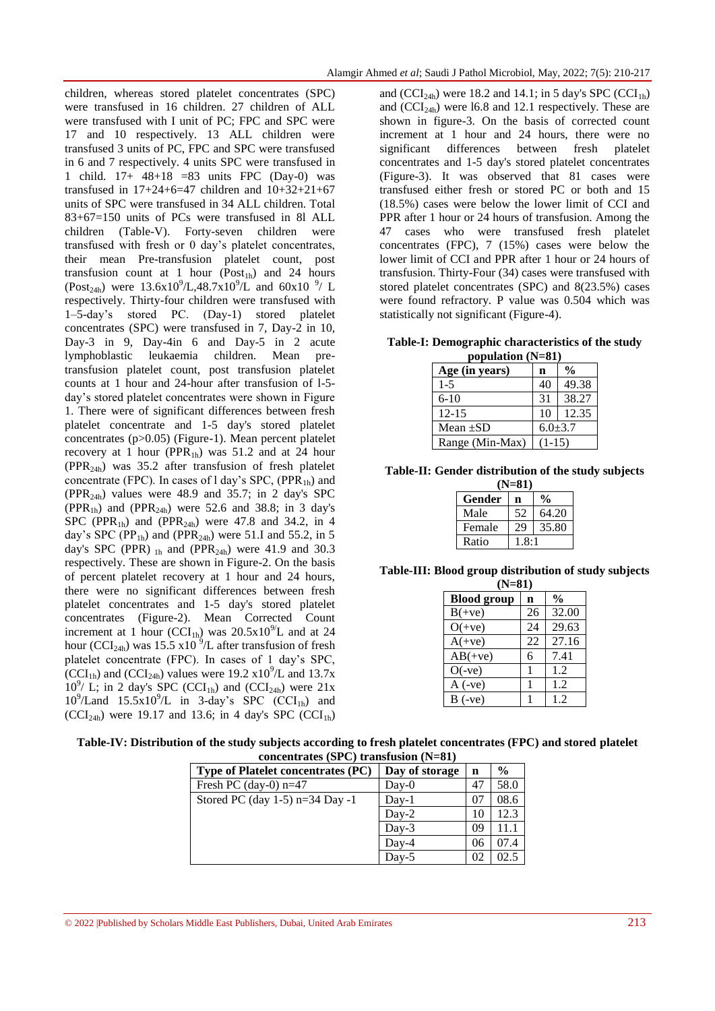children, whereas stored platelet concentrates (SPC) were transfused in 16 children. 27 children of ALL were transfused with I unit of PC; FPC and SPC were 17 and 10 respectively. 13 ALL children were transfused 3 units of PC, FPC and SPC were transfused in 6 and 7 respectively. 4 units SPC were transfused in 1 child. 17+ 48+18 =83 units FPC (Day-0) was transfused in  $17+24+6=47$  children and  $10+32+21+67$ units of SPC were transfused in 34 ALL children. Total 83+67=150 units of PCs were transfused in 8l ALL children (Table-V). Forty-seven children were transfused with fresh or 0 day's platelet concentrates, their mean Pre-transfusion platelet count, post transfusion count at 1 hour  $(Post<sub>1h</sub>)$  and 24 hours (Post<sub>24h</sub>) were 13.6x10<sup>9</sup>/L,48.7x10<sup>9</sup>/L and 60x10<sup>9</sup>/L respectively. Thirty-four children were transfused with 1–5-day's stored PC. (Day-1) stored platelet concentrates (SPC) were transfused in 7, Day-2 in 10, Day-3 in 9, Day-4in 6 and Day-5 in 2 acute lymphoblastic leukaemia children. Mean pretransfusion platelet count, post transfusion platelet counts at 1 hour and 24-hour after transfusion of l-5 day's stored platelet concentrates were shown in Figure 1. There were of significant differences between fresh platelet concentrate and 1-5 day's stored platelet concentrates (p>0.05) (Figure-1). Mean percent platelet recovery at 1 hour (PPR<sub>1h</sub>) was 51.2 and at 24 hour  $(PPR<sub>24h</sub>)$  was 35.2 after transfusion of fresh platelet concentrate (FPC). In cases of  $1 \text{ day's } SPC$ , (PPR<sub>1h</sub>) and  $(PPR<sub>24h</sub>)$  values were 48.9 and 35.7; in 2 day's SPC (PPR<sub>1h</sub>) and (PPR<sub>24h</sub>) were 52.6 and 38.8; in 3 day's SPC (PPR<sub>1b</sub>) and (PPR<sub>24b</sub>) were 47.8 and 34.2, in 4 day's SPC (PP<sub>1b</sub>) and (PPR<sub>24b</sub>) were 51.I and 55.2, in 5 day's SPC (PPR)  $_{1h}$  and (PPR<sub>24h</sub>) were 41.9 and 30.3 respectively. These are shown in Figure-2. On the basis of percent platelet recovery at 1 hour and 24 hours, there were no significant differences between fresh platelet concentrates and 1-5 day's stored platelet concentrates (Figure-2). Mean Corrected Count increment at 1 hour (CCI<sub>1h</sub>) was  $20.5 \times 10^{9}$ L and at 24 hour (CCI<sub>24h</sub>) was 15.5 x10<sup>9</sup>/L after transfusion of fresh platelet concentrate (FPC). In cases of 1 day's SPC,  $(CCI<sub>1h</sub>)$  and  $(CCI<sub>24h</sub>)$  values were 19.2 x10<sup>9</sup>/L and 13.7x  $10^9$ / L; in 2 day's SPC (CCI<sub>1h</sub>) and (CCI<sub>24h</sub>) were 21x  $10^9$ /Land  $15.5x10^9$ /L in 3-day's SPC (CCI<sub>1h</sub>) and  $(CCI<sub>24h</sub>)$  were 19.17 and 13.6; in 4 day's SPC  $(CCI<sub>1h</sub>)$ 

and  $(CCI<sub>24h</sub>)$  were 18.2 and 14.1; in 5 day's SPC  $(CCI<sub>1h</sub>)$ and  $(CCI<sub>24h</sub>)$  were 16.8 and 12.1 respectively. These are shown in figure-3. On the basis of corrected count increment at 1 hour and 24 hours, there were no significant differences between fresh platelet concentrates and 1-5 day's stored platelet concentrates (Figure-3). It was observed that 81 cases were transfused either fresh or stored PC or both and 15 (18.5%) cases were below the lower limit of CCI and PPR after 1 hour or 24 hours of transfusion. Among the 47 cases who were transfused fresh platelet concentrates (FPC), 7 (15%) cases were below the lower limit of CCI and PPR after 1 hour or 24 hours of transfusion. Thirty-Four (34) cases were transfused with stored platelet concentrates (SPC) and 8(23.5%) cases were found refractory. P value was 0.504 which was statistically not significant (Figure-4).

#### **Table-I: Demographic characteristics of the study population (N=81)**

| Age (in years)  | n             | $\frac{0}{0}$ |  |
|-----------------|---------------|---------------|--|
| $1 - 5$         | 40            | 49.38         |  |
| $6 - 10$        | 31            | 38.27         |  |
| $12 - 15$       | 10            | 12.35         |  |
| Mean $\pm SD$   | $6.0 \pm 3.7$ |               |  |
| Range (Min-Max) | $(1-15)$      |               |  |

**Table-II: Gender distribution of the study subjects** 

| $(N=81)$ |       |       |  |  |
|----------|-------|-------|--|--|
| Gender   | n     |       |  |  |
| Male     | 52    | 64.20 |  |  |
| Female   | 29    | 35.80 |  |  |
| Ratio    | 1.8:1 |       |  |  |

**Table-III: Blood group distribution of study subjects (N=81)**

| $(19=01)$          |    |               |  |
|--------------------|----|---------------|--|
| <b>Blood</b> group | n  | $\frac{0}{0}$ |  |
| $B(+ve)$           | 26 | 32.00         |  |
| $O(+ve)$           | 24 | 29.63         |  |
| $A(+ve)$           | 22 | 27.16         |  |
| $AB(+ve)$          | 6  | 7.41          |  |
| $O(-ve)$           |    | 1.2           |  |
| $A$ (-ve)          |    | 1.2           |  |
| $B(-ve)$           |    | 1.2           |  |

| Table-IV: Distribution of the study subjects according to fresh platelet concentrates (FPC) and stored platelet |  |
|-----------------------------------------------------------------------------------------------------------------|--|
| $concentrate$ (SPC) transfusion $(N-81)$                                                                        |  |

| $\mathbf{u}$ and $\mathbf{u}$ and $\mathbf{v}$ and $\mathbf{u}$ and $\mathbf{u}$ and $\mathbf{u}$ |             |               |  |
|---------------------------------------------------------------------------------------------------|-------------|---------------|--|
| Day of storage                                                                                    | $\mathbf n$ | $\frac{0}{0}$ |  |
| $Day-0$                                                                                           | 47          | 58.0          |  |
| $Day-1$                                                                                           | 07          | 08.6          |  |
| $Day-2$                                                                                           | 10          | 12.3          |  |
| $Day-3$                                                                                           | 09          | 11.1          |  |
| Day-4                                                                                             | 06          | 07.4          |  |
| $Day-5$                                                                                           | 02          | 02.5          |  |
|                                                                                                   |             |               |  |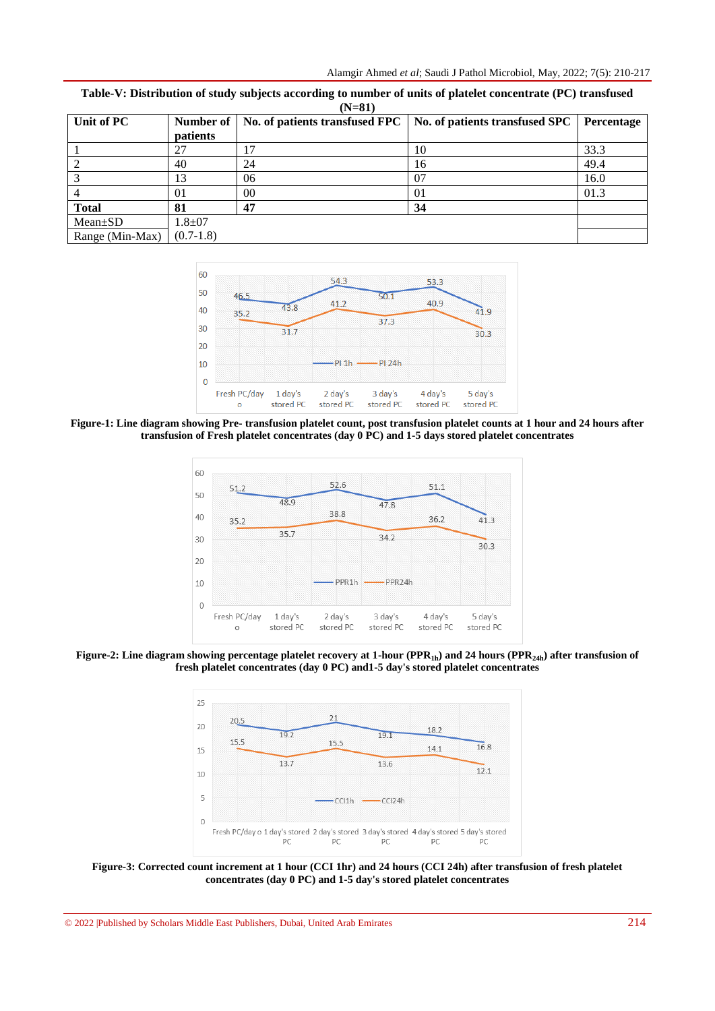| Unit of PC      | Number of   |    | No. of patients transfused FPC   No. of patients transfused SPC | Percentage |
|-----------------|-------------|----|-----------------------------------------------------------------|------------|
|                 | patients    |    |                                                                 |            |
|                 | 27          |    | 10                                                              | 33.3       |
|                 | 40          | 24 | 16                                                              | 49.4       |
|                 |             | 06 | 07                                                              | 16.0       |
|                 | 01          | 00 | 01                                                              | 01.3       |
| <b>Total</b>    | 81          | 47 | 34                                                              |            |
| $Mean \pm SD$   | $1.8 + 07$  |    |                                                                 |            |
| Range (Min-Max) | $(0.7-1.8)$ |    |                                                                 |            |

**Table-V: Distribution of study subjects according to number of units of platelet concentrate (PC) transfused (N=81)**



**Figure-1: Line diagram showing Pre- transfusion platelet count, post transfusion platelet counts at 1 hour and 24 hours after transfusion of Fresh platelet concentrates (day 0 PC) and 1-5 days stored platelet concentrates**



**Figure-2: Line diagram showing percentage platelet recovery at 1-hour (PPR1h) and 24 hours (PPR24h) after transfusion of fresh platelet concentrates (day 0 PC) and1-5 day's stored platelet concentrates**



**Figure-3: Corrected count increment at 1 hour (CCI 1hr) and 24 hours (CCI 24h) after transfusion of fresh platelet concentrates (day 0 PC) and 1-5 day's stored platelet concentrates**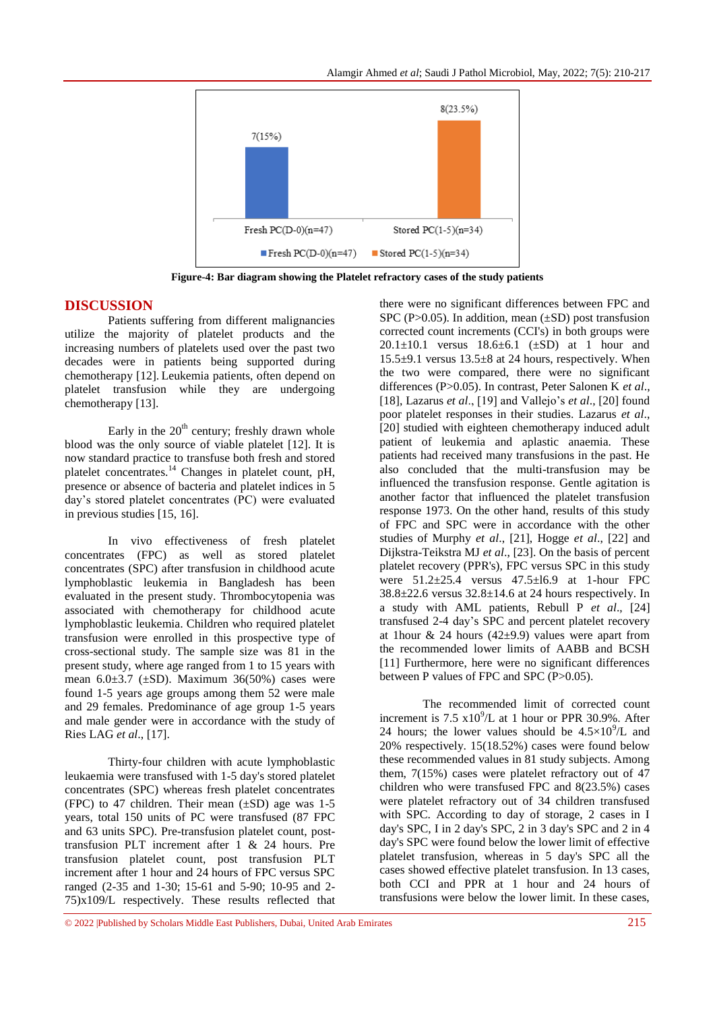

**Figure-4: Bar diagram showing the Platelet refractory cases of the study patients**

### **DISCUSSION**

Patients suffering from different malignancies utilize the majority of platelet products and the increasing numbers of platelets used over the past two decades were in patients being supported during chemotherapy [12]. Leukemia patients, often depend on platelet transfusion while they are undergoing chemotherapy [13].

Early in the  $20<sup>th</sup>$  century; freshly drawn whole blood was the only source of viable platelet [12]. It is now standard practice to transfuse both fresh and stored platelet concentrates.<sup>14</sup> Changes in platelet count, pH, presence or absence of bacteria and platelet indices in 5 day's stored platelet concentrates (PC) were evaluated in previous studies [15, 16].

In vivo effectiveness of fresh platelet concentrates (FPC) as well as stored platelet concentrates (SPC) after transfusion in childhood acute lymphoblastic leukemia in Bangladesh has been evaluated in the present study. Thrombocytopenia was associated with chemotherapy for childhood acute lymphoblastic leukemia. Children who required platelet transfusion were enrolled in this prospective type of cross-sectional study. The sample size was 81 in the present study, where age ranged from 1 to 15 years with mean  $6.0\pm3.7$  ( $\pm$ SD). Maximum 36(50%) cases were found 1-5 years age groups among them 52 were male and 29 females. Predominance of age group 1-5 years and male gender were in accordance with the study of Ries LAG *et al*., [17].

Thirty-four children with acute lymphoblastic leukaemia were transfused with 1-5 day's stored platelet concentrates (SPC) whereas fresh platelet concentrates (FPC) to 47 children. Their mean  $(\pm SD)$  age was 1-5 years, total 150 units of PC were transfused (87 FPC and 63 units SPC). Pre-transfusion platelet count, posttransfusion PLT increment after 1 & 24 hours. Pre transfusion platelet count, post transfusion PLT increment after 1 hour and 24 hours of FPC versus SPC ranged (2-35 and 1-30; 15-61 and 5-90; 10-95 and 2- 75)x109/L respectively. These results reflected that

there were no significant differences between FPC and SPC (P $>0.05$ ). In addition, mean ( $\pm$ SD) post transfusion corrected count increments (CCI's) in both groups were 20.1 $\pm$ 10.1 versus 18.6 $\pm$ 6.1 ( $\pm$ SD) at 1 hour and  $15.5\pm9.1$  versus  $13.5\pm8$  at 24 hours, respectively. When the two were compared, there were no significant differences (P>0.05). In contrast, Peter Salonen K *et al*., [18], Lazarus *et al*., [19] and Vallejo's *et al*., [20] found poor platelet responses in their studies. Lazarus *et al*., [20] studied with eighteen chemotherapy induced adult patient of leukemia and aplastic anaemia. These patients had received many transfusions in the past. He also concluded that the multi-transfusion may be influenced the transfusion response. Gentle agitation is another factor that influenced the platelet transfusion response 1973. On the other hand, results of this study of FPC and SPC were in accordance with the other studies of Murphy *et al*., [21], Hogge *et al*., [22] and Dijkstra-Teikstra MJ *et al*., [23]. On the basis of percent platelet recovery (PPR's), FPC versus SPC in this study were 51.2±25.4 versus 47.5±l6.9 at 1-hour FPC  $38.8 \pm 22.6$  versus  $32.8 \pm 14.6$  at 24 hours respectively. In a study with AML patients, Rebull P *et al*., [24] transfused 2-4 day's SPC and percent platelet recovery at 1 hour & 24 hours ( $42\pm9.9$ ) values were apart from the recommended lower limits of AABB and BCSH [11] Furthermore, here were no significant differences between P values of FPC and SPC (P>0.05).

The recommended limit of corrected count increment is  $7.5 \times 10^9$ /L at 1 hour or PPR 30.9%. After 24 hours; the lower values should be  $4.5 \times 10^{9}/L$  and 20% respectively. 15(18.52%) cases were found below these recommended values in 81 study subjects. Among them, 7(15%) cases were platelet refractory out of 47 children who were transfused FPC and 8(23.5%) cases were platelet refractory out of 34 children transfused with SPC. According to day of storage, 2 cases in I day's SPC, I in 2 day's SPC, 2 in 3 day's SPC and 2 in 4 day's SPC were found below the lower limit of effective platelet transfusion, whereas in 5 day's SPC all the cases showed effective platelet transfusion. In 13 cases, both CCI and PPR at 1 hour and 24 hours of transfusions were below the lower limit. In these cases,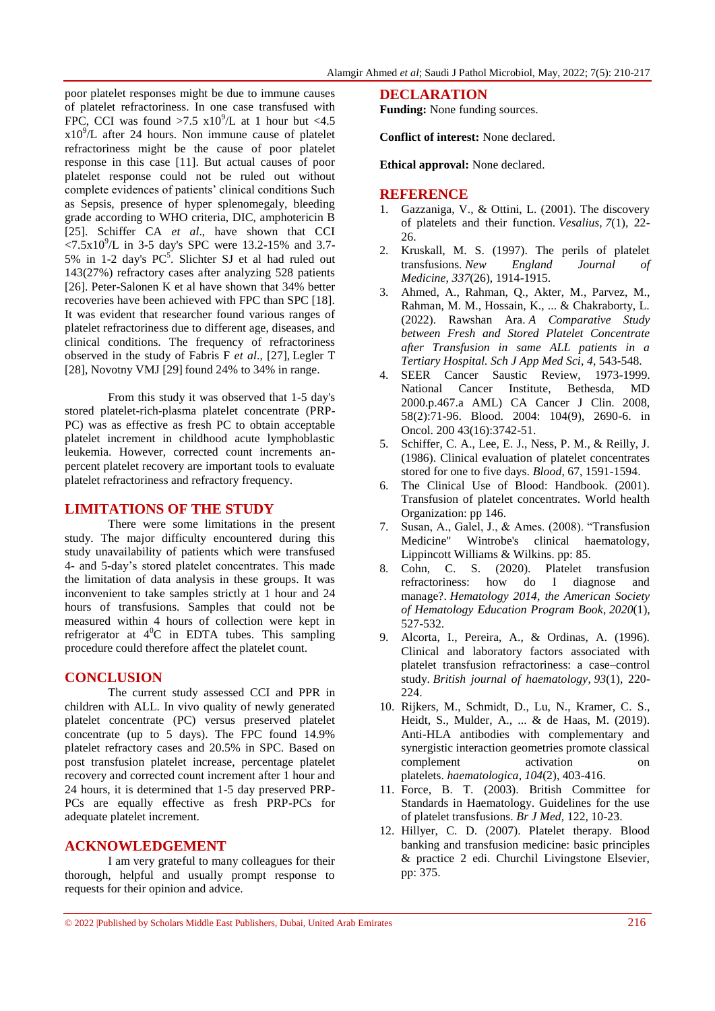poor platelet responses might be due to immune causes of platelet refractoriness. In one case transfused with FPC, CCI was found  $>7.5$  x10<sup>9</sup>/L at 1 hour but <4.5  $x10<sup>9</sup>/L$  after 24 hours. Non immune cause of platelet refractoriness might be the cause of poor platelet response in this case [11]. But actual causes of poor platelet response could not be ruled out without complete evidences of patients' clinical conditions Such as Sepsis, presence of hyper splenomegaly, bleeding grade according to WHO criteria, DIC, amphotericin B [25]. Schiffer CA *et al*., have shown that CCI  $\langle 7.5 \times 10^9 \rangle$ L in 3-5 day's SPC were 13.2-15% and 3.7-5% in 1-2 day's  $PC^5$ . Slichter SJ et al had ruled out 143(27%) refractory cases after analyzing 528 patients [26]. Peter-Salonen K et al have shown that 34% better recoveries have been achieved with FPC than SPC [18]. It was evident that researcher found various ranges of platelet refractoriness due to different age, diseases, and clinical conditions. The frequency of refractoriness observed in the study of Fabris F *et al*., [27], Legler T [28], Novotny VMJ [29] found 24% to 34% in range.

From this study it was observed that 1-5 day's stored platelet-rich-plasma platelet concentrate (PRP-PC) was as effective as fresh PC to obtain acceptable platelet increment in childhood acute lymphoblastic leukemia. However, corrected count increments anpercent platelet recovery are important tools to evaluate platelet refractoriness and refractory frequency.

#### **LIMITATIONS OF THE STUDY**

There were some limitations in the present study. The major difficulty encountered during this study unavailability of patients which were transfused 4- and 5-day's stored platelet concentrates. This made the limitation of data analysis in these groups. It was inconvenient to take samples strictly at 1 hour and 24 hours of transfusions. Samples that could not be measured within 4 hours of collection were kept in refrigerator at  $4^{\circ}$ C in EDTA tubes. This sampling procedure could therefore affect the platelet count.

#### **CONCLUSION**

The current study assessed CCI and PPR in children with ALL. In vivo quality of newly generated platelet concentrate (PC) versus preserved platelet concentrate (up to 5 days). The FPC found 14.9% platelet refractory cases and 20.5% in SPC. Based on post transfusion platelet increase, percentage platelet recovery and corrected count increment after 1 hour and 24 hours, it is determined that 1-5 day preserved PRP-PCs are equally effective as fresh PRP-PCs for adequate platelet increment.

#### **ACKNOWLEDGEMENT**

I am very grateful to many colleagues for their thorough, helpful and usually prompt response to requests for their opinion and advice.

#### **DECLARATION**

**Funding:** None funding sources.

**Conflict of interest:** None declared.

**Ethical approval:** None declared.

#### **REFERENCE**

- 1. Gazzaniga, V., & Ottini, L. (2001). The discovery of platelets and their function. *Vesalius*, *7*(1), 22- 26.
- 2. Kruskall, M. S. (1997). The perils of platelet transfusions. *New England Journal of Medicine*, *337*(26), 1914-1915.
- 3. Ahmed, A., Rahman, Q., Akter, M., Parvez, M., Rahman, M. M., Hossain, K., ... & Chakraborty, L. (2022). Rawshan Ara. *A Comparative Study between Fresh and Stored Platelet Concentrate after Transfusion in same ALL patients in a Tertiary Hospital. Sch J App Med Sci*, *4*, 543-548.
- 4. SEER Cancer Saustic Review, 1973-1999. National Cancer Institute, Bethesda, MD 2000.p.467.a AML) CA Cancer J Clin. 2008, 58(2):71-96. Blood. 2004: 104(9), 2690-6. in Oncol. 200 43(16):3742-51.
- 5. Schiffer, C. A., Lee, E. J., Ness, P. M., & Reilly, J. (1986). Clinical evaluation of platelet concentrates stored for one to five days. *Blood*, 67, 1591-1594.
- 6. The Clinical Use of Blood: Handbook. (2001). Transfusion of platelet concentrates. World health Organization: pp 146.
- 7. Susan, A., Galel, J., & Ames. (2008). "Transfusion Medicine" Wintrobe's clinical haematology, Lippincott Williams & Wilkins. pp: 85.
- 8. Cohn, C. S. (2020). Platelet transfusion refractoriness: how do I diagnose and manage?. *Hematology 2014, the American Society of Hematology Education Program Book*, *2020*(1), 527-532.
- 9. Alcorta, I., Pereira, A., & Ordinas, A. (1996). Clinical and laboratory factors associated with platelet transfusion refractoriness: a case–control study. *British journal of haematology*, *93*(1), 220- 224.
- 10. Rijkers, M., Schmidt, D., Lu, N., Kramer, C. S., Heidt, S., Mulder, A., ... & de Haas, M. (2019). Anti-HLA antibodies with complementary and synergistic interaction geometries promote classical complement activation on platelets. *haematologica*, *104*(2), 403-416.
- 11. Force, B. T. (2003). British Committee for Standards in Haematology. Guidelines for the use of platelet transfusions. *Br J Med*, 122, 10-23.
- 12. Hillyer, C. D. (2007). Platelet therapy. Blood banking and transfusion medicine: basic principles & practice 2 edi. Churchil Livingstone Elsevier, pp: 375.